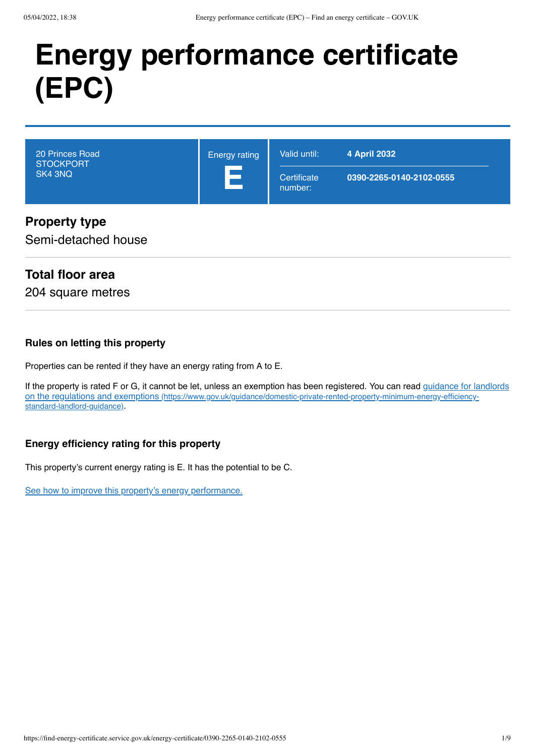# **Energy performance certificate (EPC)**

| 20 Princes Road<br><b>STOCKPORT</b><br>SK4 3NQ | <b>Energy rating</b><br>$\mathcal{L}_{\mathcal{A}}$ | Valid until:<br>Certificate<br>number: | 4 April 2032<br>0390-2265-0140-2102-0555 |
|------------------------------------------------|-----------------------------------------------------|----------------------------------------|------------------------------------------|
| <b>Dronarty type</b>                           |                                                     |                                        |                                          |

## **Property type**

Semi-detached house

## **Total floor area**

204 square metres

#### **Rules on letting this property**

Properties can be rented if they have an energy rating from A to E.

[If the property is rated F or G, it cannot be let, unless an exemption has been registered. You can read guidance for landlords](https://www.gov.uk/guidance/domestic-private-rented-property-minimum-energy-efficiency-standard-landlord-guidance) on the regulations and exemptions (https://www.gov.uk/guidance/domestic-private-rented-property-minimum-energy-efficiencystandard-landlord-guidance).

#### **Energy efficiency rating for this property**

This property's current energy rating is E. It has the potential to be C.

[See how to improve this property's energy performance.](#page-4-0)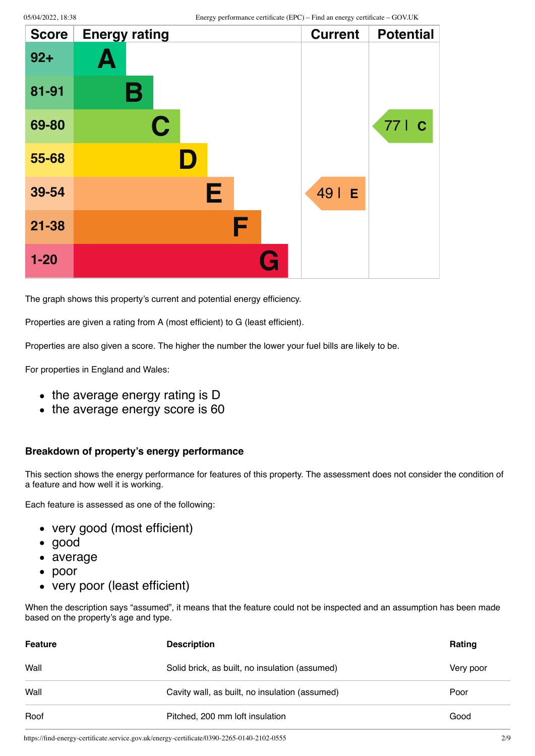| <b>Score</b> | <b>Energy rating</b> | <b>Current</b> | <b>Potential</b> |
|--------------|----------------------|----------------|------------------|
| $92 +$       | Ą                    |                |                  |
| 81-91        | В                    |                |                  |
| 69-80        | $\mathbf C$          |                | 77   C           |
| 55-68        | ID.                  |                |                  |
| 39-54        | Е                    | 49   E         |                  |
| $21 - 38$    | F                    |                |                  |
| $1 - 20$     | <b>Ay</b>            |                |                  |

The graph shows this property's current and potential energy efficiency.

Properties are given a rating from A (most efficient) to G (least efficient).

Properties are also given a score. The higher the number the lower your fuel bills are likely to be.

For properties in England and Wales:

- the average energy rating is D
- the average energy score is 60

#### **Breakdown of property's energy performance**

This section shows the energy performance for features of this property. The assessment does not consider the condition of a feature and how well it is working.

Each feature is assessed as one of the following:

- very good (most efficient)
- good
- average
- poor
- very poor (least efficient)

When the description says "assumed", it means that the feature could not be inspected and an assumption has been made based on the property's age and type.

| <b>Feature</b> | <b>Description</b>                             | Rating    |
|----------------|------------------------------------------------|-----------|
| Wall           | Solid brick, as built, no insulation (assumed) | Very poor |
| Wall           | Cavity wall, as built, no insulation (assumed) | Poor      |
| Roof           | Pitched, 200 mm loft insulation                | Good      |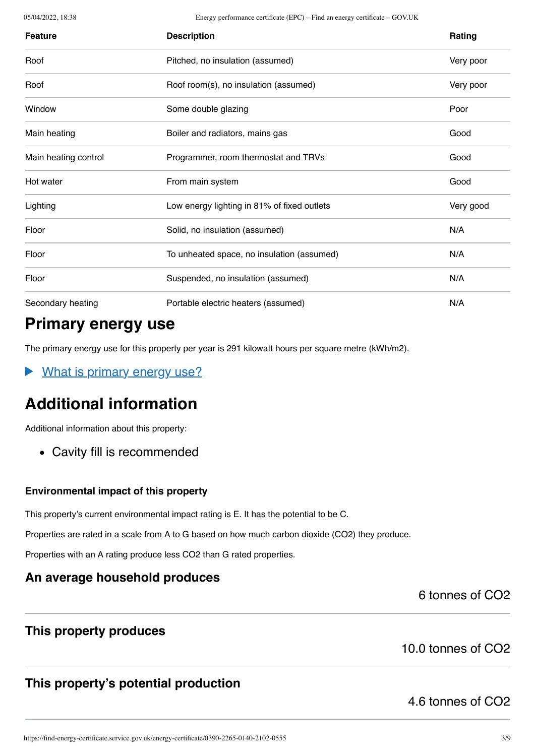05/04/2022, 18:38 Energy performance certificate (EPC) – Find an energy certificate – GOV.UK

| <b>Feature</b>       | <b>Description</b>                          | Rating    |
|----------------------|---------------------------------------------|-----------|
| Roof                 | Pitched, no insulation (assumed)            | Very poor |
| Roof                 | Roof room(s), no insulation (assumed)       | Very poor |
| Window               | Some double glazing                         | Poor      |
| Main heating         | Boiler and radiators, mains gas             | Good      |
| Main heating control | Programmer, room thermostat and TRVs        | Good      |
| Hot water            | From main system                            | Good      |
| Lighting             | Low energy lighting in 81% of fixed outlets | Very good |
| Floor                | Solid, no insulation (assumed)              | N/A       |
| Floor                | To unheated space, no insulation (assumed)  | N/A       |
| Floor                | Suspended, no insulation (assumed)          | N/A       |
| Secondary heating    | Portable electric heaters (assumed)         | N/A       |

# **Primary energy use**

The primary energy use for this property per year is 291 kilowatt hours per square metre (kWh/m2).

What is primary energy use?  $\blacktriangleright$ 

# **Additional information**

Additional information about this property:

Cavity fill is recommended

#### **Environmental impact of this property**

This property's current environmental impact rating is E. It has the potential to be C.

Properties are rated in a scale from A to G based on how much carbon dioxide (CO2) they produce.

Properties with an A rating produce less CO2 than G rated properties.

### **An average household produces**

6 tonnes of CO2

### **This property produces**

10.0 tonnes of CO2

## **This property's potential production**

4.6 tonnes of CO2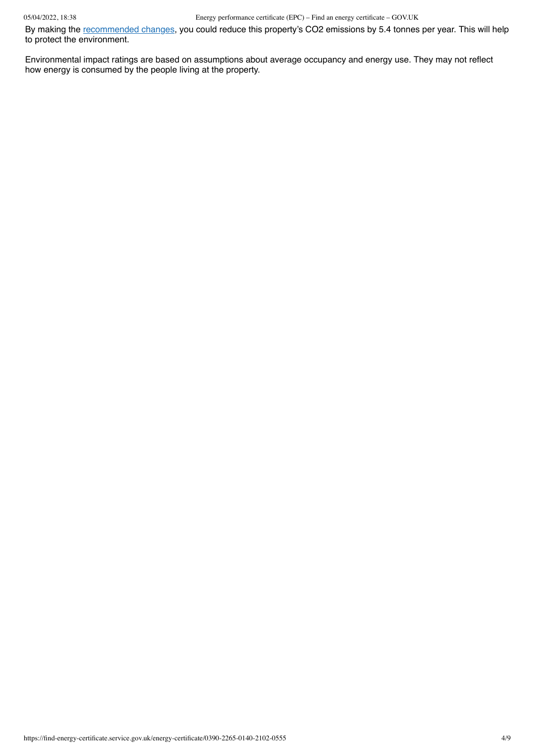By making the [recommended changes](#page-4-0), you could reduce this property's CO2 emissions by 5.4 tonnes per year. This will help to protect the environment.

Environmental impact ratings are based on assumptions about average occupancy and energy use. They may not reflect how energy is consumed by the people living at the property.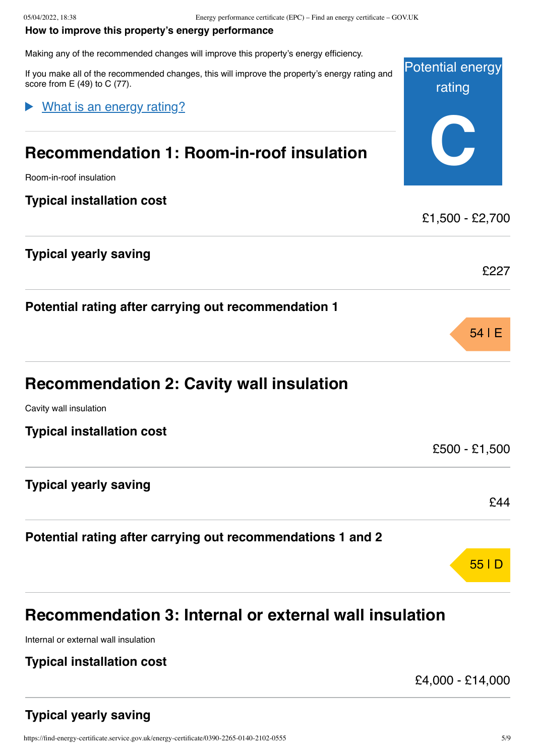#### <span id="page-4-0"></span>**How to improve this property's energy performance**

Making any of the recommended changes will improve this property's energy efficiency.

Potential energy rating **C** If you make all of the recommended changes, this will improve the property's energy rating and score from  $E(49)$  to  $C(77)$ . **Recommendation 1: Room-in-roof insulation** Room-in-roof insulation What is an energy rating?

**Typical installation cost**

#### **Typical yearly saving**

**Potential rating after carrying out recommendation 1**

| <b>Recommendation 2: Cavity wall insulation</b> |  |  |  |  |
|-------------------------------------------------|--|--|--|--|
|-------------------------------------------------|--|--|--|--|

Cavity wall insulation

**Typical installation cost**

**Typical yearly saving**

**Potential rating after carrying out recommendations 1 and 2**

# **Recommendation 3: Internal or external wall insulation**

Internal or external wall insulation

#### **Typical installation cost**

£4,000 - £14,000

£1,500 - £2,700

£227

54 | E

£500 - £1,500

£44

55 | D

## **Typical yearly saving**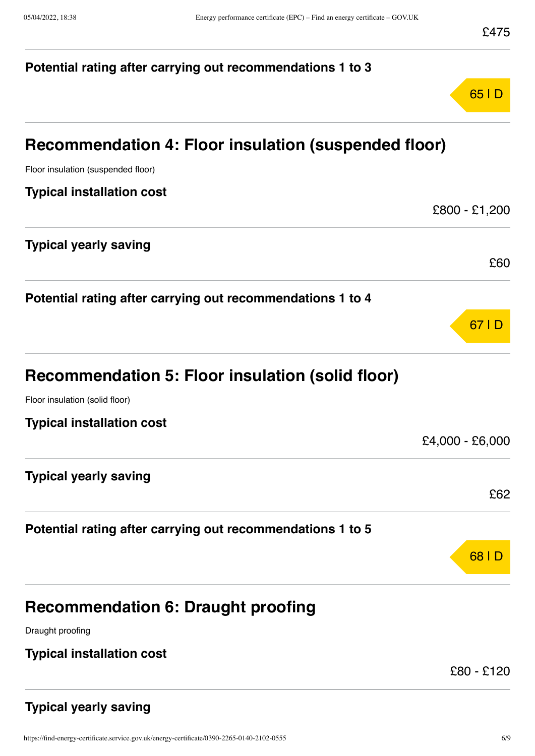# **Potential rating after carrying out recommendations 1 to 3** 65 | D **Recommendation 4: Floor insulation (suspended floor)** Floor insulation (suspended floor) **Typical installation cost** £800 - £1,200 **Typical yearly saving** £60 **Potential rating after carrying out recommendations 1 to 4** 67 | D **Recommendation 5: Floor insulation (solid floor)** Floor insulation (solid floor) **Typical installation cost** £4,000 - £6,000 **Typical yearly saving** £62 **Potential rating after carrying out recommendations 1 to 5** 68 | D **Recommendation 6: Draught proofing** Draught proofing **Typical installation cost** £80 - £120

## **Typical yearly saving**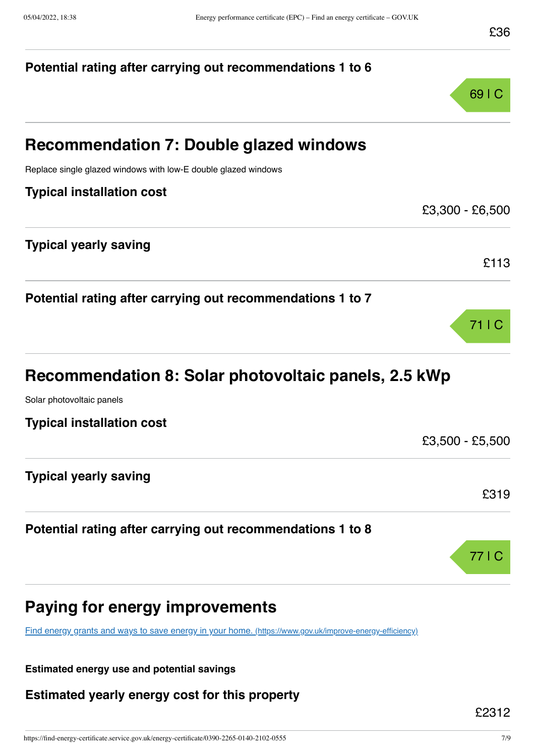# **Potential rating after carrying out recommendations 1 to 6** 69 | C **Recommendation 7: Double glazed windows** Replace single glazed windows with low-E double glazed windows **Typical installation cost** £3,300 - £6,500 **Typical yearly saving** £113 **Potential rating after carrying out recommendations 1 to 7** 71 | C **Recommendation 8: Solar photovoltaic panels, 2.5 kWp** Solar photovoltaic panels **Typical installation cost** £3,500 - £5,500 **Typical yearly saving** £319 **Potential rating after carrying out recommendations 1 to 8** 77 | C **Paying for energy improvements** [Find energy grants and ways to save energy in your home.](https://www.gov.uk/improve-energy-efficiency) (https://www.gov.uk/improve-energy-efficiency)

**Estimated energy use and potential savings**

**Estimated yearly energy cost for this property**

£2312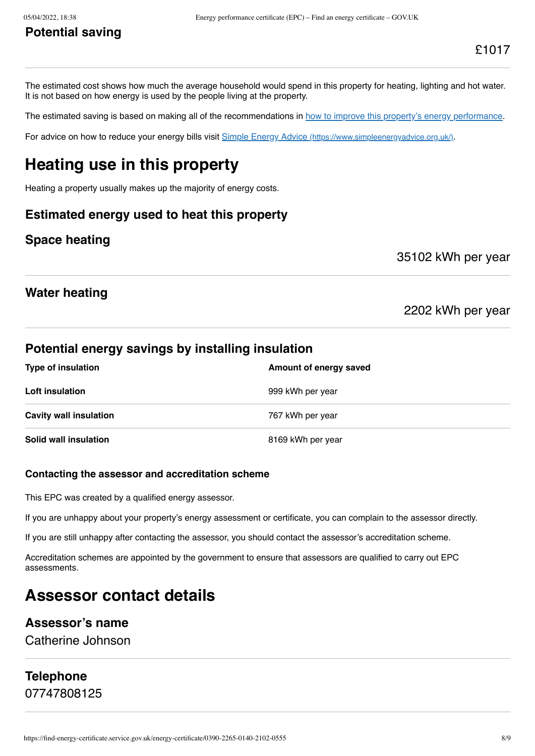## **Potential saving**

The estimated cost shows how much the average household would spend in this property for heating, lighting and hot water. It is not based on how energy is used by the people living at the property.

The estimated saving is based on making all of the recommendations in [how to improve this property's energy performance.](#page-4-0)

For advice on how to reduce your energy bills visit Simple Energy Advice [\(https://www.simpleenergyadvice.org.uk/\)](https://www.simpleenergyadvice.org.uk/).

# **Heating use in this property**

Heating a property usually makes up the majority of energy costs.

#### **Estimated energy used to heat this property**

#### **Space heating**

35102 kWh per year

## **Water heating**

2202 kWh per year

#### **Potential energy savings by installing insulation**

| <b>Type of insulation</b>     | Amount of energy saved |
|-------------------------------|------------------------|
| Loft insulation               | 999 kWh per year       |
| <b>Cavity wall insulation</b> | 767 kWh per year       |
| Solid wall insulation         | 8169 kWh per year      |

#### **Contacting the assessor and accreditation scheme**

This EPC was created by a qualified energy assessor.

If you are unhappy about your property's energy assessment or certificate, you can complain to the assessor directly.

If you are still unhappy after contacting the assessor, you should contact the assessor's accreditation scheme.

Accreditation schemes are appointed by the government to ensure that assessors are qualified to carry out EPC assessments.

# **Assessor contact details**

#### **Assessor's name**

Catherine Johnson

# **Telephone**

07747808125